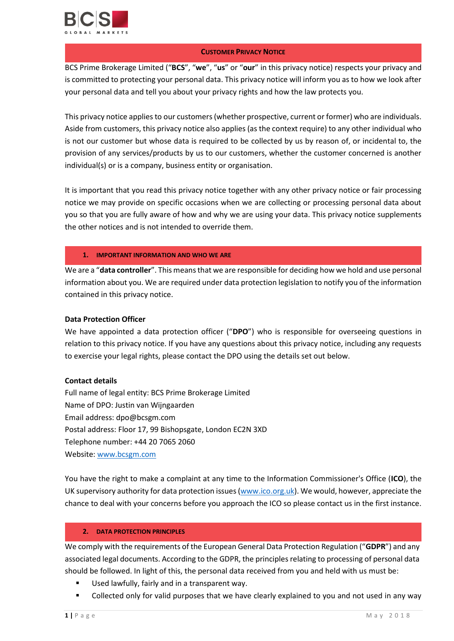

## **CUSTOMER PRIVACY NOTICE**

BCS Prime Brokerage Limited ("**BCS**", "**we**", "**us**" or "**our**" in this privacy notice) respects your privacy and is committed to protecting your personal data. This privacy notice will inform you as to how we look after your personal data and tell you about your privacy rights and how the law protects you.

This privacy notice applies to our customers (whether prospective, current or former) who are individuals. Aside from customers, this privacy notice also applies (as the context require) to any other individual who is not our customer but whose data is required to be collected by us by reason of, or incidental to, the provision of any services/products by us to our customers, whether the customer concerned is another individual(s) or is a company, business entity or organisation.

It is important that you read this privacy notice together with any other privacy notice or fair processing notice we may provide on specific occasions when we are collecting or processing personal data about you so that you are fully aware of how and why we are using your data. This privacy notice supplements the other notices and is not intended to override them.

## **1. IMPORTANT INFORMATION AND WHO WE ARE**

We are a "**data controller**". This means that we are responsible for deciding how we hold and use personal information about you. We are required under data protection legislation to notify you of the information contained in this privacy notice.

## **Data Protection Officer**

We have appointed a data protection officer ("**DPO**") who is responsible for overseeing questions in relation to this privacy notice. If you have any questions about this privacy notice, including any requests to exercise your legal rights, please contact the DPO using the details set out below.

# **Contact details**

Full name of legal entity: BCS Prime Brokerage Limited Name of DPO: Justin van Wijngaarden Email address: dpo@bcsgm.com Postal address: Floor 17, 99 Bishopsgate, London EC2N 3XD Telephone number: +44 20 7065 2060 Website[: www.bcsgm.com](http://www.bcsgm.com/)

You have the right to make a complaint at any time to the Information Commissioner's Office (**ICO**), the UK supervisory authority for data protection issues [\(www.ico.org.uk\)](http://www.ico.org.uk/). We would, however, appreciate the chance to deal with your concerns before you approach the ICO so please contact us in the first instance.

## **2. DATA PROTECTION PRINCIPLES**

We comply with the requirements of the European General Data Protection Regulation ("**GDPR**") and any associated legal documents. According to the GDPR, the principles relating to processing of personal data should be followed. In light of this, the personal data received from you and held with us must be:

- **Used lawfully, fairly and in a transparent way.**
- Collected only for valid purposes that we have clearly explained to you and not used in any way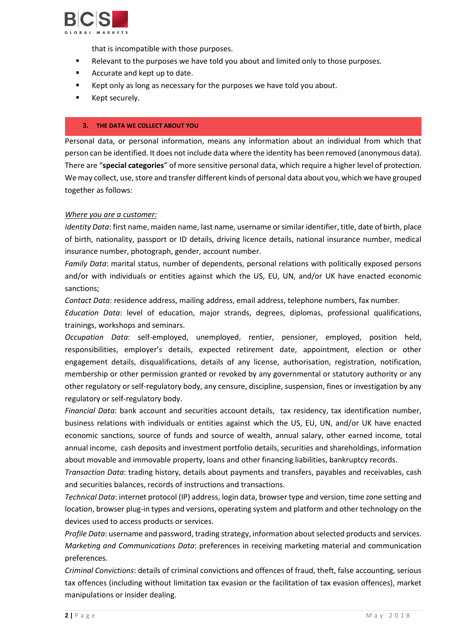

that is incompatible with those purposes.

- Relevant to the purposes we have told you about and limited only to those purposes.
- Accurate and kept up to date.
- Kept only as long as necessary for the purposes we have told you about.
- **EXECUTE:** Kept securely.

#### **3. THE DATA WE COLLECT ABOUT YOU**

Personal data, or personal information, means any information about an individual from which that person can be identified. It does not include data where the identity has been removed (anonymous data). There are "**special categories**" of more sensitive personal data, which require a higher level of protection. We may collect, use, store and transfer different kinds of personal data about you, which we have grouped together as follows:

#### *Where you are a customer:*

*Identity Data*: first name, maiden name, last name, username or similar identifier, title, date of birth, place of birth, nationality, passport or ID details, driving licence details, national insurance number, medical insurance number, photograph, gender, account number.

*Family Data*: marital status, number of dependents, personal relations with politically exposed persons and/or with individuals or entities against which the US, EU, UN, and/or UK have enacted economic sanctions;

*Contact Data*: residence address, mailing address, email address, telephone numbers, fax number.

*Education Data*: level of education, major strands, degrees, diplomas, professional qualifications, trainings, workshops and seminars.

*Occupation Data*: self-employed, unemployed, rentier, pensioner, employed, position held, responsibilities, employer's details, expected retirement date, appointment, election or other engagement details, disqualifications, details of any license, authorisation, registration, notification, membership or other permission granted or revoked by any governmental or statutory authority or any other regulatory or self-regulatory body, any censure, discipline, suspension, fines or investigation by any regulatory or self-regulatory body.

*Financial Data*: bank account and securities account details, tax residency, tax identification number, business relations with individuals or entities against which the US, EU, UN, and/or UK have enacted economic sanctions, source of funds and source of wealth, annual salary, other earned income, total annual income, cash deposits and investment portfolio details, securities and shareholdings, information about movable and immovable property, loans and other financing liabilities, bankruptcy records.

*Transaction Data*: trading history, details about payments and transfers, payables and receivables, cash and securities balances, records of instructions and transactions.

*Technical Data*: internet protocol (IP) address, login data, browser type and version, time zone setting and location, browser plug-in types and versions, operating system and platform and other technology on the devices used to access products or services.

*Profile Data*: username and password, trading strategy, information about selected products and services. *Marketing and Communications Data*: preferences in receiving marketing material and communication preferences.

*Criminal Convictions*: details of criminal convictions and offences of fraud, theft, false accounting, serious tax offences (including without limitation tax evasion or the facilitation of tax evasion offences), market manipulations or insider dealing.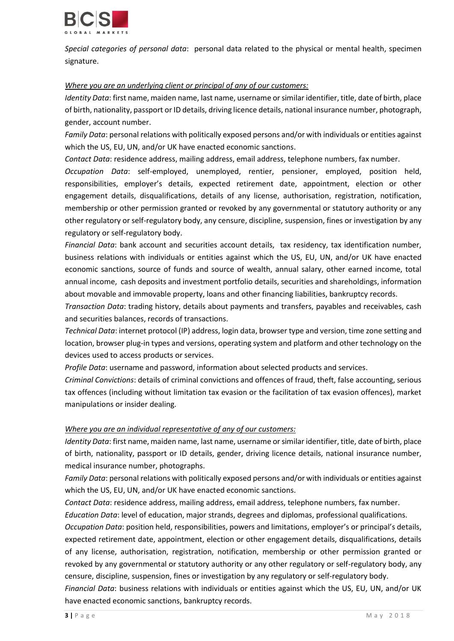

*Special categories of personal data*: personal data related to the physical or mental health, specimen signature.

## *Where you are an underlying client or principal of any of our customers:*

*Identity Data*: first name, maiden name, last name, username or similar identifier, title, date of birth, place of birth, nationality, passport or ID details, driving licence details, national insurance number, photograph, gender, account number.

*Family Data*: personal relations with politically exposed persons and/or with individuals or entities against which the US, EU, UN, and/or UK have enacted economic sanctions.

*Contact Data*: residence address, mailing address, email address, telephone numbers, fax number.

*Occupation Data*: self-employed, unemployed, rentier, pensioner, employed, position held, responsibilities, employer's details, expected retirement date, appointment, election or other engagement details, disqualifications, details of any license, authorisation, registration, notification, membership or other permission granted or revoked by any governmental or statutory authority or any other regulatory or self-regulatory body, any censure, discipline, suspension, fines or investigation by any regulatory or self-regulatory body.

*Financial Data*: bank account and securities account details, tax residency, tax identification number, business relations with individuals or entities against which the US, EU, UN, and/or UK have enacted economic sanctions, source of funds and source of wealth, annual salary, other earned income, total annual income, cash deposits and investment portfolio details, securities and shareholdings, information about movable and immovable property, loans and other financing liabilities, bankruptcy records.

*Transaction Data*: trading history, details about payments and transfers, payables and receivables, cash and securities balances, records of transactions.

*Technical Data*: internet protocol (IP) address, login data, browser type and version, time zone setting and location, browser plug-in types and versions, operating system and platform and other technology on the devices used to access products or services.

*Profile Data*: username and password, information about selected products and services.

*Criminal Convictions*: details of criminal convictions and offences of fraud, theft, false accounting, serious tax offences (including without limitation tax evasion or the facilitation of tax evasion offences), market manipulations or insider dealing.

# *Where you are an individual representative of any of our customers:*

*Identity Data*: first name, maiden name, last name, username or similar identifier, title, date of birth, place of birth, nationality, passport or ID details, gender, driving licence details, national insurance number, medical insurance number, photographs.

*Family Data*: personal relations with politically exposed persons and/or with individuals or entities against which the US, EU, UN, and/or UK have enacted economic sanctions.

*Contact Data*: residence address, mailing address, email address, telephone numbers, fax number.

*Education Data*: level of education, major strands, degrees and diplomas, professional qualifications.

*Occupation Data*: position held, responsibilities, powers and limitations, employer's or principal's details, expected retirement date, appointment, election or other engagement details, disqualifications, details of any license, authorisation, registration, notification, membership or other permission granted or revoked by any governmental or statutory authority or any other regulatory or self-regulatory body, any censure, discipline, suspension, fines or investigation by any regulatory or self-regulatory body.

*Financial Data*: business relations with individuals or entities against which the US, EU, UN, and/or UK have enacted economic sanctions, bankruptcy records.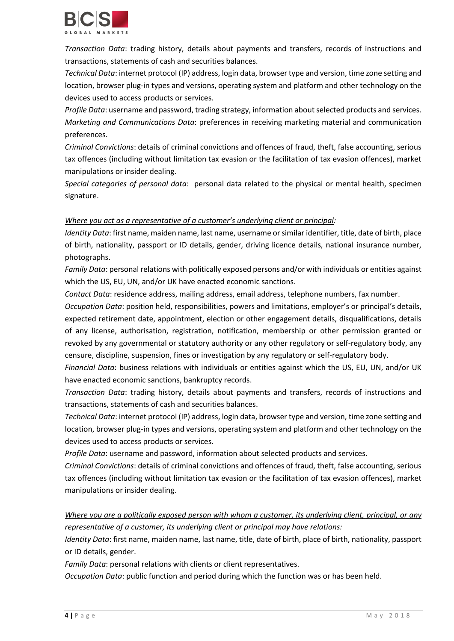

*Transaction Data*: trading history, details about payments and transfers, records of instructions and transactions, statements of cash and securities balances.

*Technical Data*: internet protocol (IP) address, login data, browser type and version, time zone setting and location, browser plug-in types and versions, operating system and platform and other technology on the devices used to access products or services.

*Profile Data*: username and password, trading strategy, information about selected products and services. *Marketing and Communications Data*: preferences in receiving marketing material and communication preferences.

*Criminal Convictions*: details of criminal convictions and offences of fraud, theft, false accounting, serious tax offences (including without limitation tax evasion or the facilitation of tax evasion offences), market manipulations or insider dealing.

*Special categories of personal data*: personal data related to the physical or mental health, specimen signature.

## *Where you act as a representative of a customer's underlying client or principal:*

*Identity Data*: first name, maiden name, last name, username or similar identifier, title, date of birth, place of birth, nationality, passport or ID details, gender, driving licence details, national insurance number, photographs.

*Family Data*: personal relations with politically exposed persons and/or with individuals or entities against which the US, EU, UN, and/or UK have enacted economic sanctions.

*Contact Data*: residence address, mailing address, email address, telephone numbers, fax number.

*Occupation Data*: position held, responsibilities, powers and limitations, employer's or principal's details, expected retirement date, appointment, election or other engagement details, disqualifications, details of any license, authorisation, registration, notification, membership or other permission granted or revoked by any governmental or statutory authority or any other regulatory or self-regulatory body, any censure, discipline, suspension, fines or investigation by any regulatory or self-regulatory body.

*Financial Data*: business relations with individuals or entities against which the US, EU, UN, and/or UK have enacted economic sanctions, bankruptcy records.

*Transaction Data*: trading history, details about payments and transfers, records of instructions and transactions, statements of cash and securities balances.

*Technical Data*: internet protocol (IP) address, login data, browser type and version, time zone setting and location, browser plug-in types and versions, operating system and platform and other technology on the devices used to access products or services.

*Profile Data*: username and password, information about selected products and services.

*Criminal Convictions*: details of criminal convictions and offences of fraud, theft, false accounting, serious tax offences (including without limitation tax evasion or the facilitation of tax evasion offences), market manipulations or insider dealing.

*Where you are a politically exposed person with whom a customer, its underlying client, principal, or any representative of a customer, its underlying client or principal may have relations:*

*Identity Data*: first name, maiden name, last name, title, date of birth, place of birth, nationality, passport or ID details, gender.

*Family Data*: personal relations with clients or client representatives.

*Occupation Data*: public function and period during which the function was or has been held.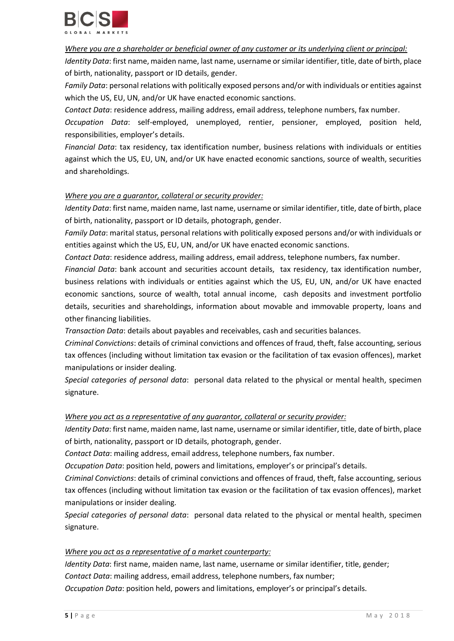

## *Where you are a shareholder or beneficial owner of any customer or its underlying client or principal:*

*Identity Data*: first name, maiden name, last name, username or similar identifier, title, date of birth, place of birth, nationality, passport or ID details, gender.

*Family Data*: personal relations with politically exposed persons and/or with individuals or entities against which the US, EU, UN, and/or UK have enacted economic sanctions.

*Contact Data*: residence address, mailing address, email address, telephone numbers, fax number.

*Occupation Data*: self-employed, unemployed, rentier, pensioner, employed, position held, responsibilities, employer's details.

*Financial Data*: tax residency, tax identification number, business relations with individuals or entities against which the US, EU, UN, and/or UK have enacted economic sanctions, source of wealth, securities and shareholdings.

## *Where you are a guarantor, collateral or security provider:*

*Identity Data*: first name, maiden name, last name, username or similar identifier, title, date of birth, place of birth, nationality, passport or ID details, photograph, gender.

*Family Data*: marital status, personal relations with politically exposed persons and/or with individuals or entities against which the US, EU, UN, and/or UK have enacted economic sanctions.

*Contact Data*: residence address, mailing address, email address, telephone numbers, fax number.

*Financial Data*: bank account and securities account details, tax residency, tax identification number, business relations with individuals or entities against which the US, EU, UN, and/or UK have enacted economic sanctions, source of wealth, total annual income, cash deposits and investment portfolio details, securities and shareholdings, information about movable and immovable property, loans and other financing liabilities.

*Transaction Data*: details about payables and receivables, cash and securities balances.

*Criminal Convictions*: details of criminal convictions and offences of fraud, theft, false accounting, serious tax offences (including without limitation tax evasion or the facilitation of tax evasion offences), market manipulations or insider dealing.

*Special categories of personal data*: personal data related to the physical or mental health, specimen signature.

## *Where you act as a representative of any guarantor, collateral or security provider:*

*Identity Data*: first name, maiden name, last name, username or similar identifier, title, date of birth, place of birth, nationality, passport or ID details, photograph, gender.

*Contact Data*: mailing address, email address, telephone numbers, fax number.

*Occupation Data*: position held, powers and limitations, employer's or principal's details.

*Criminal Convictions*: details of criminal convictions and offences of fraud, theft, false accounting, serious tax offences (including without limitation tax evasion or the facilitation of tax evasion offences), market manipulations or insider dealing.

*Special categories of personal data*: personal data related to the physical or mental health, specimen signature.

## *Where you act as a representative of a market counterparty:*

*Identity Data*: first name, maiden name, last name, username or similar identifier, title, gender; *Contact Data*: mailing address, email address, telephone numbers, fax number; *Occupation Data*: position held, powers and limitations, employer's or principal's details.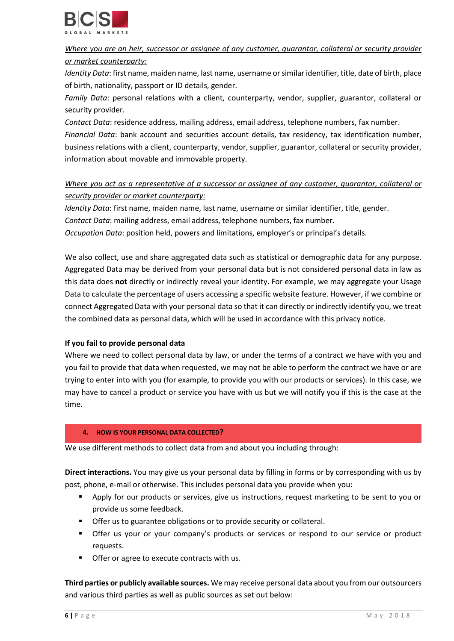

# *Where you are an heir, successor or assignee of any customer, guarantor, collateral or security provider or market counterparty:*

*Identity Data*: first name, maiden name, last name, username or similar identifier, title, date of birth, place of birth, nationality, passport or ID details, gender.

*Family Data*: personal relations with a client, counterparty, vendor, supplier, guarantor, collateral or security provider.

*Contact Data*: residence address, mailing address, email address, telephone numbers, fax number. *Financial Data*: bank account and securities account details, tax residency, tax identification number, business relations with a client, counterparty, vendor, supplier, guarantor, collateral or security provider, information about movable and immovable property.

# *Where you act as a representative of a successor or assignee of any customer, guarantor, collateral or security provider or market counterparty:*

*Identity Data*: first name, maiden name, last name, username or similar identifier, title, gender.

*Contact Data*: mailing address, email address, telephone numbers, fax number.

*Occupation Data*: position held, powers and limitations, employer's or principal's details.

We also collect, use and share aggregated data such as statistical or demographic data for any purpose. Aggregated Data may be derived from your personal data but is not considered personal data in law as this data does **not** directly or indirectly reveal your identity. For example, we may aggregate your Usage Data to calculate the percentage of users accessing a specific website feature. However, if we combine or connect Aggregated Data with your personal data so that it can directly or indirectly identify you, we treat the combined data as personal data, which will be used in accordance with this privacy notice.

# **If you fail to provide personal data**

Where we need to collect personal data by law, or under the terms of a contract we have with you and you fail to provide that data when requested, we may not be able to perform the contract we have or are trying to enter into with you (for example, to provide you with our products or services). In this case, we may have to cancel a product or service you have with us but we will notify you if this is the case at the time.

# **4. HOW IS YOUR PERSONAL DATA COLLECTED?**

We use different methods to collect data from and about you including through:

**Direct interactions.** You may give us your personal data by filling in forms or by corresponding with us by post, phone, e-mail or otherwise. This includes personal data you provide when you:

- Apply for our products or services, give us instructions, request marketing to be sent to you or provide us some feedback.
- Offer us to guarantee obligations or to provide security or collateral.
- Offer us your or your company's products or services or respond to our service or product requests.
- **•** Offer or agree to execute contracts with us.

**Third parties or publicly available sources.** We may receive personal data about you from our outsourcers and various third parties as well as public sources as set out below: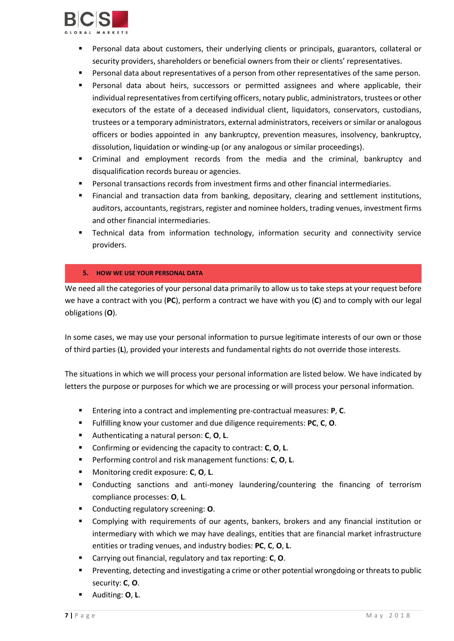

- Personal data about customers, their underlying clients or principals, guarantors, collateral or security providers, shareholders or beneficial owners from their or clients' representatives.
- Personal data about representatives of a person from other representatives of the same person.
- Personal data about heirs, successors or permitted assignees and where applicable, their individual representatives from certifying officers, notary public, administrators, trustees or other executors of the estate of a deceased individual client, liquidators, conservators, custodians, trustees or a temporary administrators, external administrators, receivers or similar or analogous officers or bodies appointed in any bankruptcy, prevention measures, insolvency, bankruptcy, dissolution, liquidation or winding-up (or any analogous or similar proceedings).
- Criminal and employment records from the media and the criminal, bankruptcy and disqualification records bureau or agencies.
- Personal transactions records from investment firms and other financial intermediaries.
- Financial and transaction data from banking, depositary, clearing and settlement institutions, auditors, accountants, registrars, register and nominee holders, trading venues, investment firms and other financial intermediaries.
- Technical data from information technology, information security and connectivity service providers.

## **5. HOW WE USE YOUR PERSONAL DATA**

We need all the categories of your personal data primarily to allow us to take steps at your request before we have a contract with you (**PC**), perform a contract we have with you (**C**) and to comply with our legal obligations (**O**).

In some cases, we may use your personal information to pursue legitimate interests of our own or those of third parties (**L**), provided your interests and fundamental rights do not override those interests.

The situations in which we will process your personal information are listed below. We have indicated by letters the purpose or purposes for which we are processing or will process your personal information.

- Entering into a contract and implementing pre-contractual measures: **P**, **C**.
- Fulfilling know your customer and due diligence requirements: **PC**, **C**, **O**.
- Authenticating a natural person: **C**, **O**, **L**.
- Confirming or evidencing the capacity to contract: **C**, **O**, **L**.
- Performing control and risk management functions: **C**, **O**, **L**.
- Monitoring credit exposure: **C**, **O**, **L**.
- Conducting sanctions and anti-money laundering/countering the financing of terrorism compliance processes: **O**, **L**.
- Conducting regulatory screening: **O**.
- Complying with requirements of our agents, bankers, brokers and any financial institution or intermediary with which we may have dealings, entities that are financial market infrastructure entities or trading venues, and industry bodies: **PC**, **C**, **O**, **L**.
- Carrying out financial, regulatory and tax reporting: **C**, **O**.
- **Preventing, detecting and investigating a crime or other potential wrongdoing or threats to public** security: **C**, **O**.
- Auditing: **O**, **L**.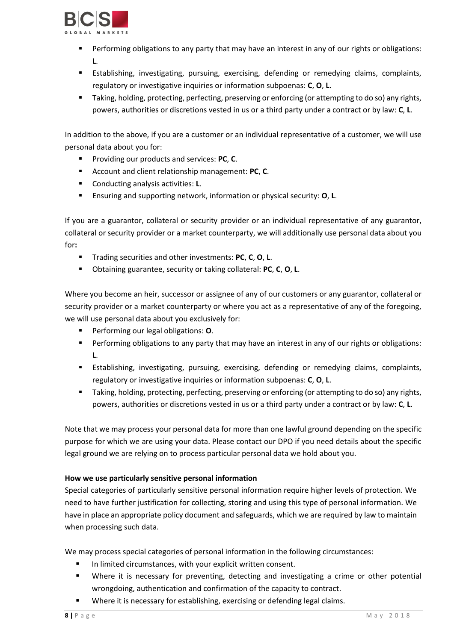

- Performing obligations to any party that may have an interest in any of our rights or obligations: **L**.
- Establishing, investigating, pursuing, exercising, defending or remedying claims, complaints, regulatory or investigative inquiries or information subpoenas: **C**, **O**, **L**.
- Taking, holding, protecting, perfecting, preserving or enforcing (or attempting to do so) any rights, powers, authorities or discretions vested in us or a third party under a contract or by law: **C**, **L**.

In addition to the above, if you are a customer or an individual representative of a customer, we will use personal data about you for:

- **Providing our products and services: PC, C.**
- Account and client relationship management: **PC**, **C**.
- Conducting analysis activities: **L**.
- Ensuring and supporting network, information or physical security: **O**, **L**.

If you are a guarantor, collateral or security provider or an individual representative of any guarantor, collateral or security provider or a market counterparty, we will additionally use personal data about you for**:**

- Trading securities and other investments: **PC**, **C**, **O**, **L**.
- Obtaining guarantee, security or taking collateral: **PC**, **C**, **O**, **L**.

Where you become an heir, successor or assignee of any of our customers or any guarantor, collateral or security provider or a market counterparty or where you act as a representative of any of the foregoing, we will use personal data about you exclusively for:

- Performing our legal obligations: **O**.
- **Performing obligations to any party that may have an interest in any of our rights or obligations: L**.
- Establishing, investigating, pursuing, exercising, defending or remedying claims, complaints, regulatory or investigative inquiries or information subpoenas: **C**, **O**, **L**.
- Taking, holding, protecting, perfecting, preserving or enforcing (or attempting to do so) any rights, powers, authorities or discretions vested in us or a third party under a contract or by law: **C**, **L**.

Note that we may process your personal data for more than one lawful ground depending on the specific purpose for which we are using your data. Please contact our DPO if you need details about the specific legal ground we are relying on to process particular personal data we hold about you.

# **How we use particularly sensitive personal information**

Special categories of particularly sensitive personal information require higher levels of protection. We need to have further justification for collecting, storing and using this type of personal information. We have in place an appropriate policy document and safeguards, which we are required by law to maintain when processing such data.

We may process special categories of personal information in the following circumstances:

- In limited circumstances, with your explicit written consent.
- Where it is necessary for preventing, detecting and investigating a crime or other potential wrongdoing, authentication and confirmation of the capacity to contract.
- Where it is necessary for establishing, exercising or defending legal claims.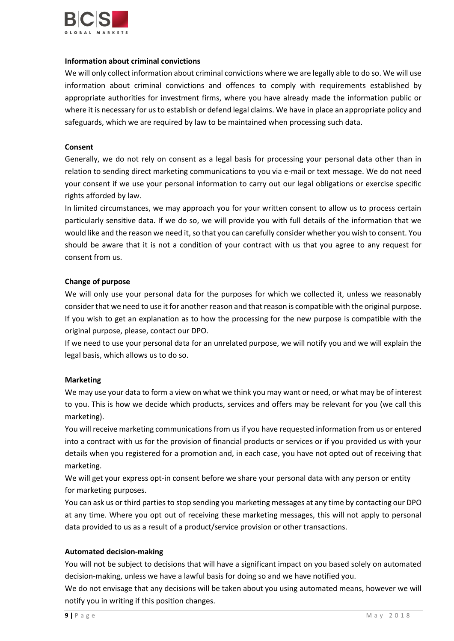

#### **Information about criminal convictions**

We will only collect information about criminal convictions where we are legally able to do so. We will use information about criminal convictions and offences to comply with requirements established by appropriate authorities for investment firms, where you have already made the information public or where it is necessary for us to establish or defend legal claims. We have in place an appropriate policy and safeguards, which we are required by law to be maintained when processing such data.

## **Consent**

Generally, we do not rely on consent as a legal basis for processing your personal data other than in relation to sending direct marketing communications to you via e-mail or text message. We do not need your consent if we use your personal information to carry out our legal obligations or exercise specific rights afforded by law.

In limited circumstances, we may approach you for your written consent to allow us to process certain particularly sensitive data. If we do so, we will provide you with full details of the information that we would like and the reason we need it, so that you can carefully consider whether you wish to consent. You should be aware that it is not a condition of your contract with us that you agree to any request for consent from us.

#### **Change of purpose**

We will only use your personal data for the purposes for which we collected it, unless we reasonably consider that we need to use it for another reason and that reason is compatible with the original purpose. If you wish to get an explanation as to how the processing for the new purpose is compatible with the original purpose, please, contact our DPO.

If we need to use your personal data for an unrelated purpose, we will notify you and we will explain the legal basis, which allows us to do so.

## **Marketing**

We may use your data to form a view on what we think you may want or need, or what may be of interest to you. This is how we decide which products, services and offers may be relevant for you (we call this marketing).

You will receive marketing communications from us if you have requested information from us or entered into a contract with us for the provision of financial products or services or if you provided us with your details when you registered for a promotion and, in each case, you have not opted out of receiving that marketing.

We will get your express opt-in consent before we share your personal data with any person or entity for marketing purposes.

You can ask us or third parties to stop sending you marketing messages at any time by contacting our DPO at any time. Where you opt out of receiving these marketing messages, this will not apply to personal data provided to us as a result of a product/service provision or other transactions.

#### **Automated decision-making**

You will not be subject to decisions that will have a significant impact on you based solely on automated decision-making, unless we have a lawful basis for doing so and we have notified you.

We do not envisage that any decisions will be taken about you using automated means, however we will notify you in writing if this position changes.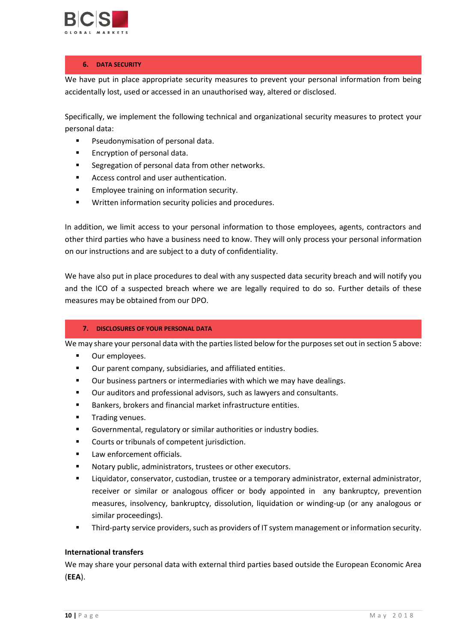

## **6. DATA SECURITY**

We have put in place appropriate security measures to prevent your personal information from being accidentally lost, used or accessed in an unauthorised way, altered or disclosed.

Specifically, we implement the following technical and organizational security measures to protect your personal data:

- **Pseudonymisation of personal data.**
- Encryption of personal data.
- Segregation of personal data from other networks.
- Access control and user authentication.
- **Employee training on information security.**
- **Written information security policies and procedures.**

In addition, we limit access to your personal information to those employees, agents, contractors and other third parties who have a business need to know. They will only process your personal information on our instructions and are subject to a duty of confidentiality.

We have also put in place procedures to deal with any suspected data security breach and will notify you and the ICO of a suspected breach where we are legally required to do so. Further details of these measures may be obtained from our DPO.

## **7. DISCLOSURES OF YOUR PERSONAL DATA**

We may share your personal data with the parties listed below for the purposes set out in section 5 above:

- **•** Our employees.
- Our parent company, subsidiaries, and affiliated entities.
- Our business partners or intermediaries with which we may have dealings.
- Our auditors and professional advisors, such as lawyers and consultants.
- Bankers, brokers and financial market infrastructure entities.
- Trading venues.
- Governmental, regulatory or similar authorities or industry bodies.
- Courts or tribunals of competent jurisdiction.
- Law enforcement officials.
- Notary public, administrators, trustees or other executors.
- Liquidator, conservator, custodian, trustee or a temporary administrator, external administrator, receiver or similar or analogous officer or body appointed in any bankruptcy, prevention measures, insolvency, bankruptcy, dissolution, liquidation or winding-up (or any analogous or similar proceedings).
- Third-party service providers, such as providers of IT system management or information security.

#### **International transfers**

We may share your personal data with external third parties based outside the European Economic Area (**EEA**).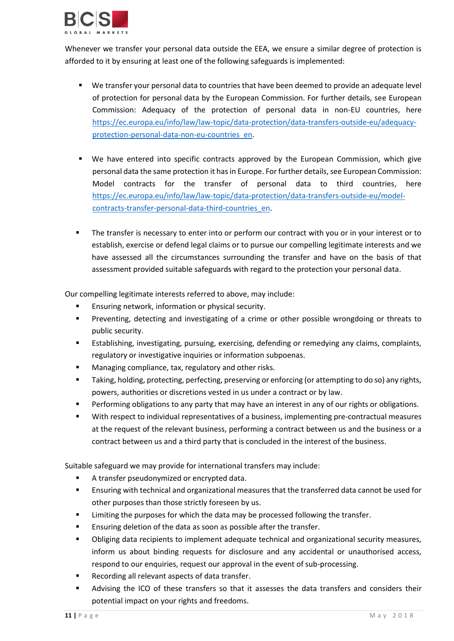

Whenever we transfer your personal data outside the EEA, we ensure a similar degree of protection is afforded to it by ensuring at least one of the following safeguards is implemented:

- We transfer your personal data to countries that have been deemed to provide an adequate level of protection for personal data by the European Commission. For further details, see European Commission: Adequacy of the protection of personal data in non-EU countries, here [https://ec.europa.eu/info/law/law-topic/data-protection/data-transfers-outside-eu/adequacy](https://ec.europa.eu/info/law/law-topic/data-protection/data-transfers-outside-eu/adequacy-protection-personal-data-non-eu-countries_en)[protection-personal-data-non-eu-countries\\_en.](https://ec.europa.eu/info/law/law-topic/data-protection/data-transfers-outside-eu/adequacy-protection-personal-data-non-eu-countries_en)
- We have entered into specific contracts approved by the European Commission, which give personal data the same protection it has in Europe. For further details, see European Commission: Model contracts for the transfer of personal data to third countries, here [https://ec.europa.eu/info/law/law-topic/data-protection/data-transfers-outside-eu/model](https://ec.europa.eu/info/law/law-topic/data-protection/data-transfers-outside-eu/model-contracts-transfer-personal-data-third-countries_en)[contracts-transfer-personal-data-third-countries\\_en.](https://ec.europa.eu/info/law/law-topic/data-protection/data-transfers-outside-eu/model-contracts-transfer-personal-data-third-countries_en)
- The transfer is necessary to enter into or perform our contract with you or in your interest or to establish, exercise or defend legal claims or to pursue our compelling legitimate interests and we have assessed all the circumstances surrounding the transfer and have on the basis of that assessment provided suitable safeguards with regard to the protection your personal data.

Our compelling legitimate interests referred to above, may include:

- Ensuring network, information or physical security.
- Preventing, detecting and investigating of a crime or other possible wrongdoing or threats to public security.
- Establishing, investigating, pursuing, exercising, defending or remedying any claims, complaints, regulatory or investigative inquiries or information subpoenas.
- Managing compliance, tax, regulatory and other risks.
- Taking, holding, protecting, perfecting, preserving or enforcing (or attempting to do so) any rights, powers, authorities or discretions vested in us under a contract or by law.
- Performing obligations to any party that may have an interest in any of our rights or obligations.
- With respect to individual representatives of a business, implementing pre-contractual measures at the request of the relevant business, performing a contract between us and the business or a contract between us and a third party that is concluded in the interest of the business.

Suitable safeguard we may provide for international transfers may include:

- A transfer pseudonymized or encrypted data.
- Ensuring with technical and organizational measures that the transferred data cannot be used for other purposes than those strictly foreseen by us.
- Limiting the purposes for which the data may be processed following the transfer.
- Ensuring deletion of the data as soon as possible after the transfer.
- Obliging data recipients to implement adequate technical and organizational security measures, inform us about binding requests for disclosure and any accidental or unauthorised access, respond to our enquiries, request our approval in the event of sub-processing.
- Recording all relevant aspects of data transfer.
- Advising the ICO of these transfers so that it assesses the data transfers and considers their potential impact on your rights and freedoms.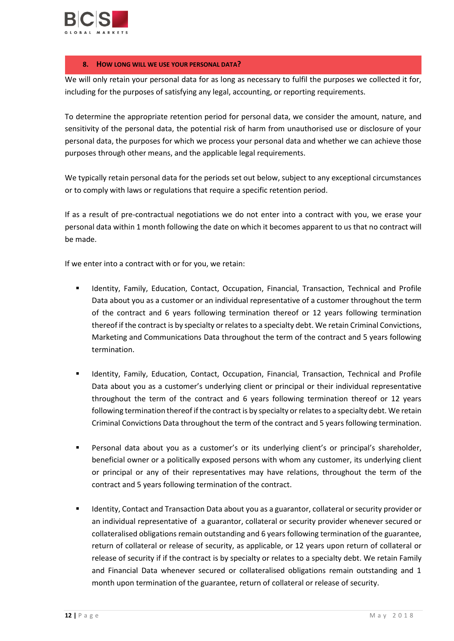

## **8. HOW LONG WILL WE USE YOUR PERSONAL DATA?**

We will only retain your personal data for as long as necessary to fulfil the purposes we collected it for, including for the purposes of satisfying any legal, accounting, or reporting requirements.

To determine the appropriate retention period for personal data, we consider the amount, nature, and sensitivity of the personal data, the potential risk of harm from unauthorised use or disclosure of your personal data, the purposes for which we process your personal data and whether we can achieve those purposes through other means, and the applicable legal requirements.

We typically retain personal data for the periods set out below, subject to any exceptional circumstances or to comply with laws or regulations that require a specific retention period.

If as a result of pre-contractual negotiations we do not enter into a contract with you, we erase your personal data within 1 month following the date on which it becomes apparent to us that no contract will be made.

If we enter into a contract with or for you, we retain:

- **IDENTICAL IDENTICS IS A THE IDENTICAL THE INCORDED IS A THE INCORDED FINAL PROFILE IN A THE IDENTICAL PROFILE** Data about you as a customer or an individual representative of a customer throughout the term of the contract and 6 years following termination thereof or 12 years following termination thereof if the contract is by specialty or relates to a specialty debt. We retain Criminal Convictions, Marketing and Communications Data throughout the term of the contract and 5 years following termination.
- Identity, Family, Education, Contact, Occupation, Financial, Transaction, Technical and Profile Data about you as a customer's underlying client or principal or their individual representative throughout the term of the contract and 6 years following termination thereof or 12 years following termination thereof ifthe contract is by specialty or relates to a specialty debt. We retain Criminal Convictions Data throughout the term of the contract and 5 years following termination.
- Personal data about you as a customer's or its underlying client's or principal's shareholder, beneficial owner or a politically exposed persons with whom any customer, its underlying client or principal or any of their representatives may have relations, throughout the term of the contract and 5 years following termination of the contract.
- **IDENTIFY** Identity, Contact and Transaction Data about you as a guarantor, collateral or security provider or an individual representative of a guarantor, collateral or security provider whenever secured or collateralised obligations remain outstanding and 6 years following termination of the guarantee, return of collateral or release of security, as applicable, or 12 years upon return of collateral or release of security if if the contract is by specialty or relates to a specialty debt. We retain Family and Financial Data whenever secured or collateralised obligations remain outstanding and 1 month upon termination of the guarantee, return of collateral or release of security.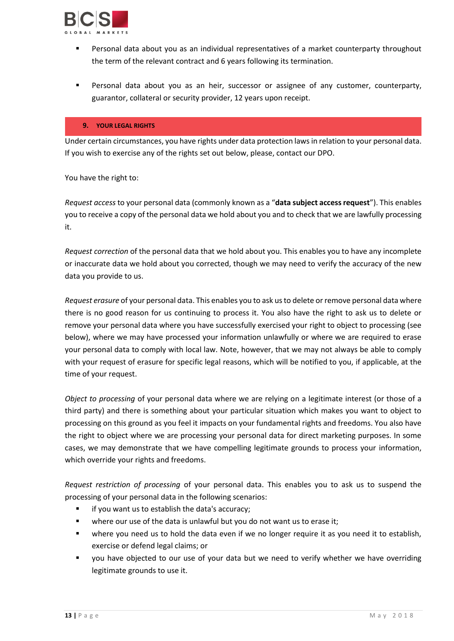

- Personal data about you as an individual representatives of a market counterparty throughout the term of the relevant contract and 6 years following its termination.
- Personal data about you as an heir, successor or assignee of any customer, counterparty, guarantor, collateral or security provider, 12 years upon receipt.

#### **9. YOUR LEGAL RIGHTS**

Under certain circumstances, you have rights under data protection laws in relation to your personal data. If you wish to exercise any of the rights set out below, please, contact our DPO.

You have the right to:

*Request access* to your personal data (commonly known as a "**data subject access request**"). This enables you to receive a copy of the personal data we hold about you and to check that we are lawfully processing it.

*Request correction* of the personal data that we hold about you. This enables you to have any incomplete or inaccurate data we hold about you corrected, though we may need to verify the accuracy of the new data you provide to us.

*Request erasure* of your personal data. This enables you to ask us to delete or remove personal data where there is no good reason for us continuing to process it. You also have the right to ask us to delete or remove your personal data where you have successfully exercised your right to object to processing (see below), where we may have processed your information unlawfully or where we are required to erase your personal data to comply with local law. Note, however, that we may not always be able to comply with your request of erasure for specific legal reasons, which will be notified to you, if applicable, at the time of your request.

*Object to processing* of your personal data where we are relying on a legitimate interest (or those of a third party) and there is something about your particular situation which makes you want to object to processing on this ground as you feel it impacts on your fundamental rights and freedoms. You also have the right to object where we are processing your personal data for direct marketing purposes. In some cases, we may demonstrate that we have compelling legitimate grounds to process your information, which override your rights and freedoms.

*Request restriction of processing* of your personal data. This enables you to ask us to suspend the processing of your personal data in the following scenarios:

- **F** if you want us to establish the data's accuracy;
- where our use of the data is unlawful but you do not want us to erase it;
- where you need us to hold the data even if we no longer require it as you need it to establish, exercise or defend legal claims; or
- you have objected to our use of your data but we need to verify whether we have overriding legitimate grounds to use it.